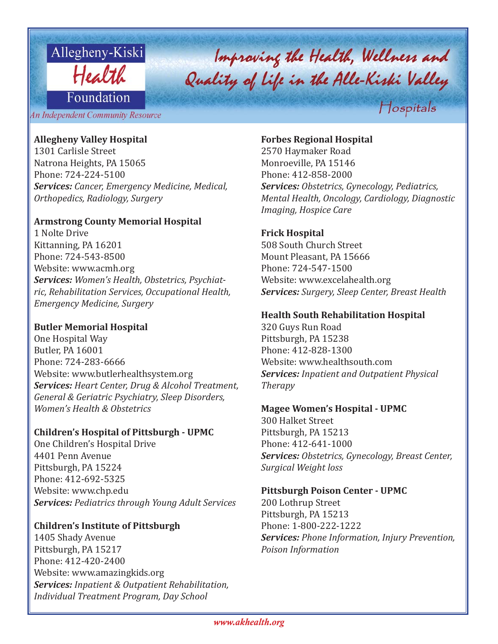

# Improving the Health, Wellness and<br>Quality of Life in the Alle-Kiski Valley Hospitals

An Independent Community Resource

# **Allegheny Valley Hospital**

1301 Carlisle Street Natrona Heights, PA 15065 Phone: 724-224-5100 *Services: Cancer, Emergency Medicine, Medical, Orthopedics, Radiology, Surgery*

# **Armstrong County Memorial Hospital**

1 Nolte Drive Kittanning, PA 16201 Phone: 724-543-8500 Website: www.acmh.org *Services: Women's Health, Obstetrics, Psychiatric, Rehabilitation Services, Occupational Health, Emergency Medicine, Surgery*

# **Butler Memorial Hospital**

One Hospital Way Butler, PA 16001 Phone: 724-283-6666 Website: www.butlerhealthsystem.org *Services: Heart Center, Drug & Alcohol Treatment, General & Geriatric Psychiatry, Sleep Disorders, Women's Health & Obstetrics*

#### **Children's Hospital of Pittsburgh - UPMC**

One Children's Hospital Drive 4401 Penn Avenue Pittsburgh, PA 15224 Phone: 412-692-5325 Website: www.chp.edu *Services: Pediatrics through Young Adult Services*

## **Children's Institute of Pittsburgh**

1405 Shady Avenue Pittsburgh, PA 15217 Phone: 412-420-2400 Website: www.amazingkids.org *Services: Inpatient & Outpatient Rehabilitation, Individual Treatment Program, Day School*

# **Forbes Regional Hospital**

2570 Haymaker Road Monroeville, PA 15146 Phone: 412-858-2000 *Services: Obstetrics, Gynecology, Pediatrics, Mental Health, Oncology, Cardiology, Diagnostic Imaging, Hospice Care*

# **Frick Hospital**

508 South Church Street Mount Pleasant, PA 15666 Phone: 724-547-1500 Website: www.excelahealth.org *Services: Surgery, Sleep Center, Breast Health*

#### **Health South Rehabilitation Hospital**

320 Guys Run Road Pittsburgh, PA 15238 Phone: 412-828-1300 Website: www.healthsouth.com *Services: Inpatient and Outpatient Physical Therapy*

# **Magee Women's Hospital - UPMC**

300 Halket Street Pittsburgh, PA 15213 Phone: 412-641-1000 *Services: Obstetrics, Gynecology, Breast Center, Surgical Weight loss*

#### **Pittsburgh Poison Center - UPMC**

200 Lothrup Street Pittsburgh, PA 15213 Phone: 1-800-222-1222 *Services: Phone Information, Injury Prevention, Poison Information*